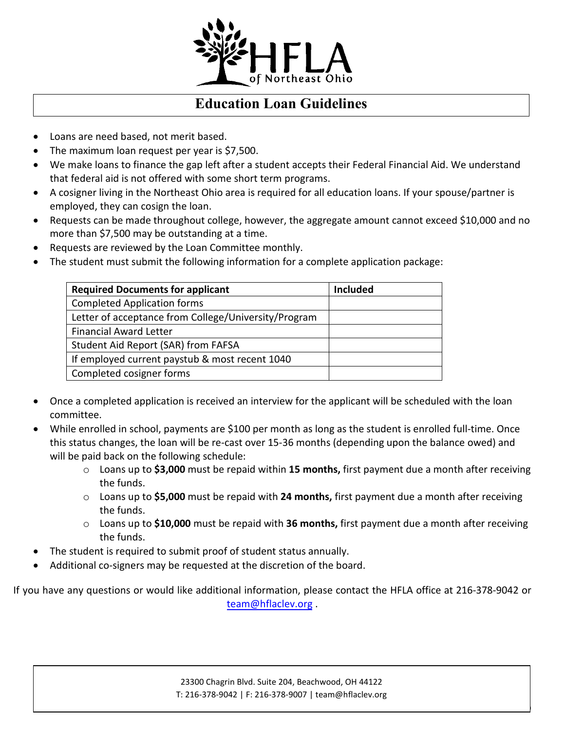

## **Education Loan Guidelines**

- Loans are need based, not merit based.
- The maximum loan request per year is \$7,500.
- We make loans to finance the gap left after a student accepts their Federal Financial Aid. We understand that federal aid is not offered with some short term programs.
- A cosigner living in the Northeast Ohio area is required for all education loans. If your spouse/partner is employed, they can cosign the loan.
- Requests can be made throughout college, however, the aggregate amount cannot exceed \$10,000 and no more than \$7,500 may be outstanding at a time.
- Requests are reviewed by the Loan Committee monthly.
- The student must submit the following information for a complete application package:

| <b>Required Documents for applicant</b>              | <b>Included</b> |
|------------------------------------------------------|-----------------|
| <b>Completed Application forms</b>                   |                 |
| Letter of acceptance from College/University/Program |                 |
| <b>Financial Award Letter</b>                        |                 |
| Student Aid Report (SAR) from FAFSA                  |                 |
| If employed current paystub & most recent 1040       |                 |
| Completed cosigner forms                             |                 |

- Once a completed application is received an interview for the applicant will be scheduled with the loan committee.
- While enrolled in school, payments are \$100 per month as long as the student is enrolled full-time. Once this status changes, the loan will be re-cast over 15-36 months (depending upon the balance owed) and will be paid back on the following schedule:
	- o Loans up to **\$3,000** must be repaid within **15 months,** first payment due a month after receiving the funds.
	- o Loans up to **\$5,000** must be repaid with **24 months,** first payment due a month after receiving the funds.
	- o Loans up to **\$10,000** must be repaid with **36 months,** first payment due a month after receiving the funds.
- The student is required to submit proof of student status annually.
- Additional co-signers may be requested at the discretion of the board.

If you have any questions or would like additional information, please contact the HFLA office at 216-378-9042 or team@hflaclev.org .

HFLA Education Loan Application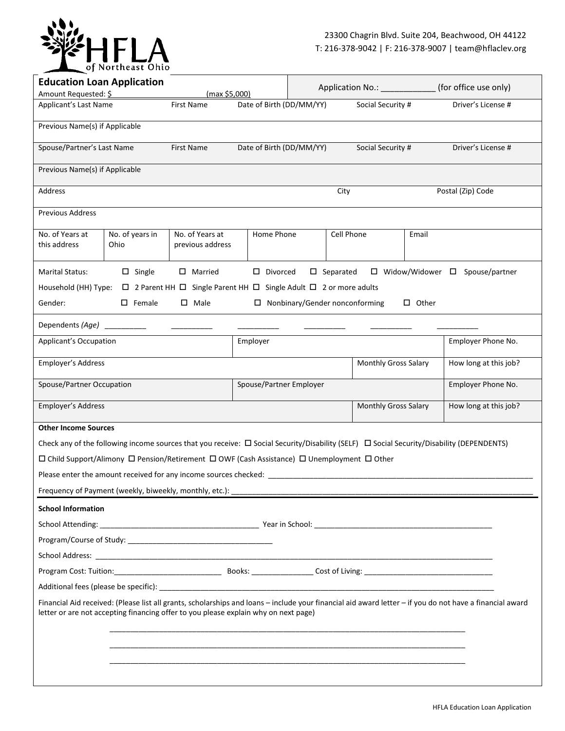

|                                                                                                                                                                                                                                                 | <b>Education Loan Application</b><br>Application No.: _____________<br>Amount Requested: \$<br>(max \$5,000) |                                                                                        |                          | (for office use only)                 |                     |                      |              |                                                                                                                                                     |
|-------------------------------------------------------------------------------------------------------------------------------------------------------------------------------------------------------------------------------------------------|--------------------------------------------------------------------------------------------------------------|----------------------------------------------------------------------------------------|--------------------------|---------------------------------------|---------------------|----------------------|--------------|-----------------------------------------------------------------------------------------------------------------------------------------------------|
| Applicant's Last Name                                                                                                                                                                                                                           |                                                                                                              | First Name                                                                             | Date of Birth (DD/MM/YY) |                                       |                     | Social Security #    |              | Driver's License #                                                                                                                                  |
| Previous Name(s) if Applicable                                                                                                                                                                                                                  |                                                                                                              |                                                                                        |                          |                                       |                     |                      |              |                                                                                                                                                     |
| Spouse/Partner's Last Name                                                                                                                                                                                                                      |                                                                                                              | First Name                                                                             | Date of Birth (DD/MM/YY) |                                       |                     | Social Security #    |              | Driver's License #                                                                                                                                  |
|                                                                                                                                                                                                                                                 |                                                                                                              |                                                                                        |                          |                                       |                     |                      |              |                                                                                                                                                     |
| Previous Name(s) if Applicable                                                                                                                                                                                                                  |                                                                                                              |                                                                                        |                          |                                       |                     |                      |              |                                                                                                                                                     |
| Address                                                                                                                                                                                                                                         |                                                                                                              |                                                                                        |                          |                                       | City                |                      |              | Postal (Zip) Code                                                                                                                                   |
| <b>Previous Address</b>                                                                                                                                                                                                                         |                                                                                                              |                                                                                        |                          |                                       |                     |                      |              |                                                                                                                                                     |
| No. of Years at<br>this address                                                                                                                                                                                                                 | No. of years in<br>Ohio                                                                                      | No. of Years at<br>previous address                                                    | Home Phone               |                                       | Cell Phone          |                      | Email        |                                                                                                                                                     |
| Marital Status:                                                                                                                                                                                                                                 | $\square$ Single                                                                                             | $\Box$ Married                                                                         | $\square$ Divorced       |                                       | $\square$ Separated |                      |              | □ Widow/Widower □ Spouse/partner                                                                                                                    |
| Household (HH) Type:                                                                                                                                                                                                                            |                                                                                                              | $\Box$ 2 Parent HH $\Box$ Single Parent HH $\Box$ Single Adult $\Box$ 2 or more adults |                          |                                       |                     |                      |              |                                                                                                                                                     |
| Gender:                                                                                                                                                                                                                                         | $\square$ Female                                                                                             | $\square$ Male                                                                         |                          | $\Box$ Nonbinary/Gender nonconforming |                     |                      | $\Box$ Other |                                                                                                                                                     |
| Dependents (Age)                                                                                                                                                                                                                                |                                                                                                              |                                                                                        |                          |                                       |                     |                      |              |                                                                                                                                                     |
| <b>Applicant's Occupation</b>                                                                                                                                                                                                                   |                                                                                                              |                                                                                        | Employer                 |                                       |                     |                      |              | Employer Phone No.                                                                                                                                  |
| Employer's Address                                                                                                                                                                                                                              |                                                                                                              |                                                                                        |                          |                                       |                     | Monthly Gross Salary |              | How long at this job?                                                                                                                               |
| Spouse/Partner Occupation                                                                                                                                                                                                                       |                                                                                                              |                                                                                        | Spouse/Partner Employer  |                                       |                     |                      |              | Employer Phone No.                                                                                                                                  |
| Employer's Address<br>Monthly Gross Salary                                                                                                                                                                                                      |                                                                                                              |                                                                                        |                          | How long at this job?                 |                     |                      |              |                                                                                                                                                     |
| <b>Other Income Sources</b>                                                                                                                                                                                                                     |                                                                                                              |                                                                                        |                          |                                       |                     |                      |              |                                                                                                                                                     |
|                                                                                                                                                                                                                                                 |                                                                                                              |                                                                                        |                          |                                       |                     |                      |              | Check any of the following income sources that you receive: $\Box$ Social Security/Disability (SELF) $\Box$ Social Security/Disability (DEPENDENTS) |
| □ Child Support/Alimony □ Pension/Retirement □ OWF (Cash Assistance) □ Unemployment □ Other                                                                                                                                                     |                                                                                                              |                                                                                        |                          |                                       |                     |                      |              |                                                                                                                                                     |
| Please enter the amount received for any income sources checked:                                                                                                                                                                                |                                                                                                              |                                                                                        |                          |                                       |                     |                      |              |                                                                                                                                                     |
|                                                                                                                                                                                                                                                 |                                                                                                              |                                                                                        |                          |                                       |                     |                      |              |                                                                                                                                                     |
| <b>School Information</b>                                                                                                                                                                                                                       |                                                                                                              |                                                                                        |                          |                                       |                     |                      |              |                                                                                                                                                     |
|                                                                                                                                                                                                                                                 |                                                                                                              |                                                                                        |                          |                                       |                     |                      |              |                                                                                                                                                     |
|                                                                                                                                                                                                                                                 |                                                                                                              |                                                                                        |                          |                                       |                     |                      |              |                                                                                                                                                     |
|                                                                                                                                                                                                                                                 |                                                                                                              |                                                                                        |                          |                                       |                     |                      |              |                                                                                                                                                     |
|                                                                                                                                                                                                                                                 |                                                                                                              |                                                                                        |                          |                                       |                     |                      |              |                                                                                                                                                     |
|                                                                                                                                                                                                                                                 |                                                                                                              |                                                                                        |                          |                                       |                     |                      |              |                                                                                                                                                     |
| Financial Aid received: (Please list all grants, scholarships and loans - include your financial aid award letter - if you do not have a financial award<br>letter or are not accepting financing offer to you please explain why on next page) |                                                                                                              |                                                                                        |                          |                                       |                     |                      |              |                                                                                                                                                     |
|                                                                                                                                                                                                                                                 |                                                                                                              |                                                                                        |                          |                                       |                     |                      |              |                                                                                                                                                     |
|                                                                                                                                                                                                                                                 |                                                                                                              |                                                                                        |                          |                                       |                     |                      |              |                                                                                                                                                     |
|                                                                                                                                                                                                                                                 |                                                                                                              |                                                                                        |                          |                                       |                     |                      |              |                                                                                                                                                     |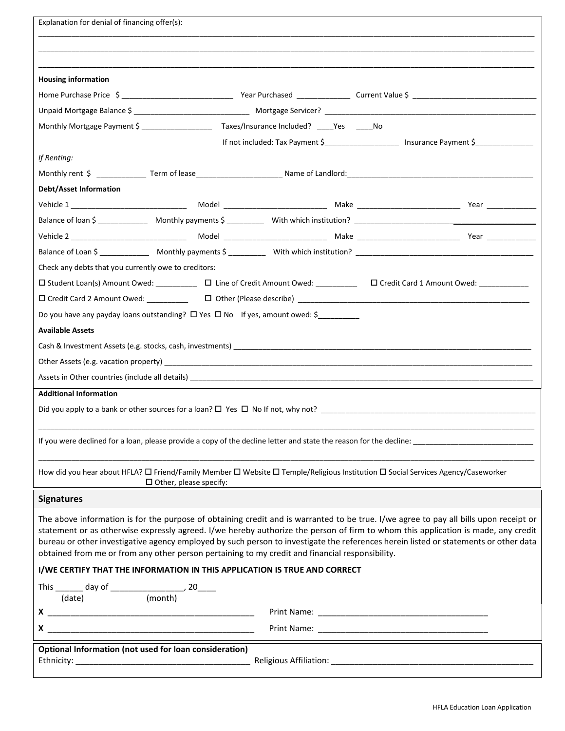| Explanation for denial of financing offer(s):                                                                                                                                                                                                                              |  |  |  |                                                                                                                         |  |
|----------------------------------------------------------------------------------------------------------------------------------------------------------------------------------------------------------------------------------------------------------------------------|--|--|--|-------------------------------------------------------------------------------------------------------------------------|--|
|                                                                                                                                                                                                                                                                            |  |  |  |                                                                                                                         |  |
|                                                                                                                                                                                                                                                                            |  |  |  |                                                                                                                         |  |
| <b>Housing information</b>                                                                                                                                                                                                                                                 |  |  |  |                                                                                                                         |  |
|                                                                                                                                                                                                                                                                            |  |  |  |                                                                                                                         |  |
|                                                                                                                                                                                                                                                                            |  |  |  |                                                                                                                         |  |
| Monthly Mortgage Payment \$ ______________________ Taxes/Insurance Included? ____Yes _____No                                                                                                                                                                               |  |  |  |                                                                                                                         |  |
|                                                                                                                                                                                                                                                                            |  |  |  | If not included: Tax Payment \$_______________________ Insurance Payment \$______________                               |  |
| If Renting:                                                                                                                                                                                                                                                                |  |  |  |                                                                                                                         |  |
|                                                                                                                                                                                                                                                                            |  |  |  |                                                                                                                         |  |
| <b>Debt/Asset Information</b>                                                                                                                                                                                                                                              |  |  |  |                                                                                                                         |  |
|                                                                                                                                                                                                                                                                            |  |  |  |                                                                                                                         |  |
|                                                                                                                                                                                                                                                                            |  |  |  |                                                                                                                         |  |
|                                                                                                                                                                                                                                                                            |  |  |  |                                                                                                                         |  |
|                                                                                                                                                                                                                                                                            |  |  |  |                                                                                                                         |  |
| Check any debts that you currently owe to creditors:                                                                                                                                                                                                                       |  |  |  |                                                                                                                         |  |
|                                                                                                                                                                                                                                                                            |  |  |  | □ Student Loan(s) Amount Owed: __________ □ Line of Credit Amount Owed: ________ □ Credit Card 1 Amount Owed: _________ |  |
|                                                                                                                                                                                                                                                                            |  |  |  |                                                                                                                         |  |
| Do you have any payday loans outstanding? $\Box$ Yes $\Box$ No If yes, amount owed: \$                                                                                                                                                                                     |  |  |  |                                                                                                                         |  |
| <b>Available Assets</b>                                                                                                                                                                                                                                                    |  |  |  |                                                                                                                         |  |
|                                                                                                                                                                                                                                                                            |  |  |  |                                                                                                                         |  |
|                                                                                                                                                                                                                                                                            |  |  |  |                                                                                                                         |  |
|                                                                                                                                                                                                                                                                            |  |  |  |                                                                                                                         |  |
| <b>Additional Information</b>                                                                                                                                                                                                                                              |  |  |  |                                                                                                                         |  |
|                                                                                                                                                                                                                                                                            |  |  |  | Did you apply to a bank or other sources for a loan? $\Box$ Yes $\Box$ No If not, why not?                              |  |
|                                                                                                                                                                                                                                                                            |  |  |  |                                                                                                                         |  |
|                                                                                                                                                                                                                                                                            |  |  |  |                                                                                                                         |  |
|                                                                                                                                                                                                                                                                            |  |  |  |                                                                                                                         |  |
| How did you hear about HFLA? □ Friend/Family Member □ Website □ Temple/Religious Institution □ Social Services Agency/Caseworker<br>$\Box$ Other, please specify:                                                                                                          |  |  |  |                                                                                                                         |  |
| <b>Signatures</b>                                                                                                                                                                                                                                                          |  |  |  |                                                                                                                         |  |
|                                                                                                                                                                                                                                                                            |  |  |  |                                                                                                                         |  |
| The above information is for the purpose of obtaining credit and is warranted to be true. I/we agree to pay all bills upon receipt or<br>statement or as otherwise expressly agreed. I/we hereby authorize the person of firm to whom this application is made, any credit |  |  |  |                                                                                                                         |  |
| bureau or other investigative agency employed by such person to investigate the references herein listed or statements or other data                                                                                                                                       |  |  |  |                                                                                                                         |  |
| obtained from me or from any other person pertaining to my credit and financial responsibility.                                                                                                                                                                            |  |  |  |                                                                                                                         |  |
| I/WE CERTIFY THAT THE INFORMATION IN THIS APPLICATION IS TRUE AND CORRECT                                                                                                                                                                                                  |  |  |  |                                                                                                                         |  |
| This $\frac{1}{(date)}$ day of $\frac{1}{(month)}$ , 20                                                                                                                                                                                                                    |  |  |  |                                                                                                                         |  |
|                                                                                                                                                                                                                                                                            |  |  |  |                                                                                                                         |  |
|                                                                                                                                                                                                                                                                            |  |  |  |                                                                                                                         |  |
|                                                                                                                                                                                                                                                                            |  |  |  |                                                                                                                         |  |
| Optional Information (not used for loan consideration)                                                                                                                                                                                                                     |  |  |  |                                                                                                                         |  |
|                                                                                                                                                                                                                                                                            |  |  |  |                                                                                                                         |  |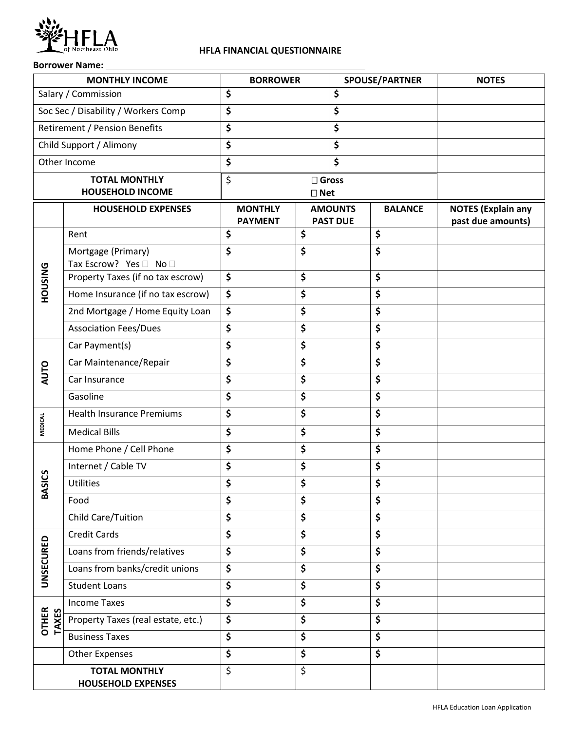

## **HFLA FINANCIAL QUESTIONNAIRE**

## **Borrower Name:**

| <b>MONTHLY INCOME</b> |                                                   | <b>BORROWER</b>                                                       |                 | <b>SPOUSE/PARTNER</b> |                                                | <b>NOTES</b> |
|-----------------------|---------------------------------------------------|-----------------------------------------------------------------------|-----------------|-----------------------|------------------------------------------------|--------------|
|                       | \$<br>\$<br>Salary / Commission                   |                                                                       |                 |                       |                                                |              |
|                       | Soc Sec / Disability / Workers Comp               | \$<br>\$                                                              |                 |                       |                                                |              |
|                       | <b>Retirement / Pension Benefits</b>              | \$<br>\$                                                              |                 |                       |                                                |              |
|                       | Child Support / Alimony                           | \$<br>\$                                                              |                 |                       |                                                |              |
|                       | Other Income                                      | \$                                                                    |                 | \$                    |                                                |              |
|                       | <b>TOTAL MONTHLY</b>                              | \$                                                                    | $\square$ Gross |                       |                                                |              |
|                       | <b>HOUSEHOLD INCOME</b>                           |                                                                       | $\square$ Net   |                       |                                                |              |
|                       | <b>HOUSEHOLD EXPENSES</b>                         | <b>MONTHLY</b><br><b>AMOUNTS</b><br><b>PAST DUE</b><br><b>PAYMENT</b> |                 | <b>BALANCE</b>        | <b>NOTES (Explain any</b><br>past due amounts) |              |
|                       | Rent                                              | \$                                                                    | \$              |                       | \$                                             |              |
|                       | Mortgage (Primary)                                | \$                                                                    | \$              |                       | \$                                             |              |
|                       | Tax Escrow? Yes □ No □                            |                                                                       |                 |                       |                                                |              |
|                       | Property Taxes (if no tax escrow)                 | \$                                                                    | \$              |                       | \$                                             |              |
| <b>HOUSING</b>        | Home Insurance (if no tax escrow)                 | \$                                                                    | \$              |                       | \$                                             |              |
|                       | 2nd Mortgage / Home Equity Loan                   | \$                                                                    | \$              |                       | \$                                             |              |
|                       | <b>Association Fees/Dues</b>                      | \$                                                                    | \$              |                       | \$                                             |              |
|                       | Car Payment(s)                                    | \$                                                                    | \$              |                       | \$                                             |              |
|                       | Car Maintenance/Repair                            | \$<br>\$                                                              |                 | \$                    |                                                |              |
| <b>AUTO</b>           | Car Insurance                                     | \$                                                                    | \$              |                       | \$                                             |              |
|                       | Gasoline                                          | \$<br>\$                                                              |                 |                       | \$                                             |              |
|                       | <b>Health Insurance Premiums</b>                  | \$                                                                    | \$              |                       | \$                                             |              |
| <b>MEDICAL</b>        | <b>Medical Bills</b>                              | \$                                                                    | \$              |                       | \$                                             |              |
|                       | Home Phone / Cell Phone                           | \$                                                                    | \$              |                       | \$                                             |              |
|                       | Internet / Cable TV                               | \$                                                                    | \$              |                       | \$                                             |              |
| <b>BASICS</b>         | Utilities                                         | \$                                                                    | \$              |                       | \$                                             |              |
|                       | Food                                              | \$                                                                    | \$              |                       | \$                                             |              |
|                       | Child Care/Tuition                                | \$                                                                    | \$              |                       | \$                                             |              |
|                       | <b>Credit Cards</b>                               | \$                                                                    | \$              |                       | \$                                             |              |
| UNSECURED             | Loans from friends/relatives                      | \$                                                                    | \$              |                       | \$                                             |              |
|                       | Loans from banks/credit unions                    | \$                                                                    | \$              |                       | \$                                             |              |
|                       | <b>Student Loans</b>                              | \$                                                                    | \$              |                       | \$                                             |              |
|                       | <b>Income Taxes</b>                               | \$                                                                    | \$              |                       | \$                                             |              |
| <b>OTHER</b><br>TAXES | Property Taxes (real estate, etc.)                | \$                                                                    | \$              |                       | \$                                             |              |
|                       | <b>Business Taxes</b>                             | \$                                                                    | \$              |                       | \$                                             |              |
|                       | <b>Other Expenses</b>                             | \$                                                                    | \$              |                       | \$                                             |              |
|                       | <b>TOTAL MONTHLY</b><br><b>HOUSEHOLD EXPENSES</b> | \$                                                                    | \$              |                       |                                                |              |